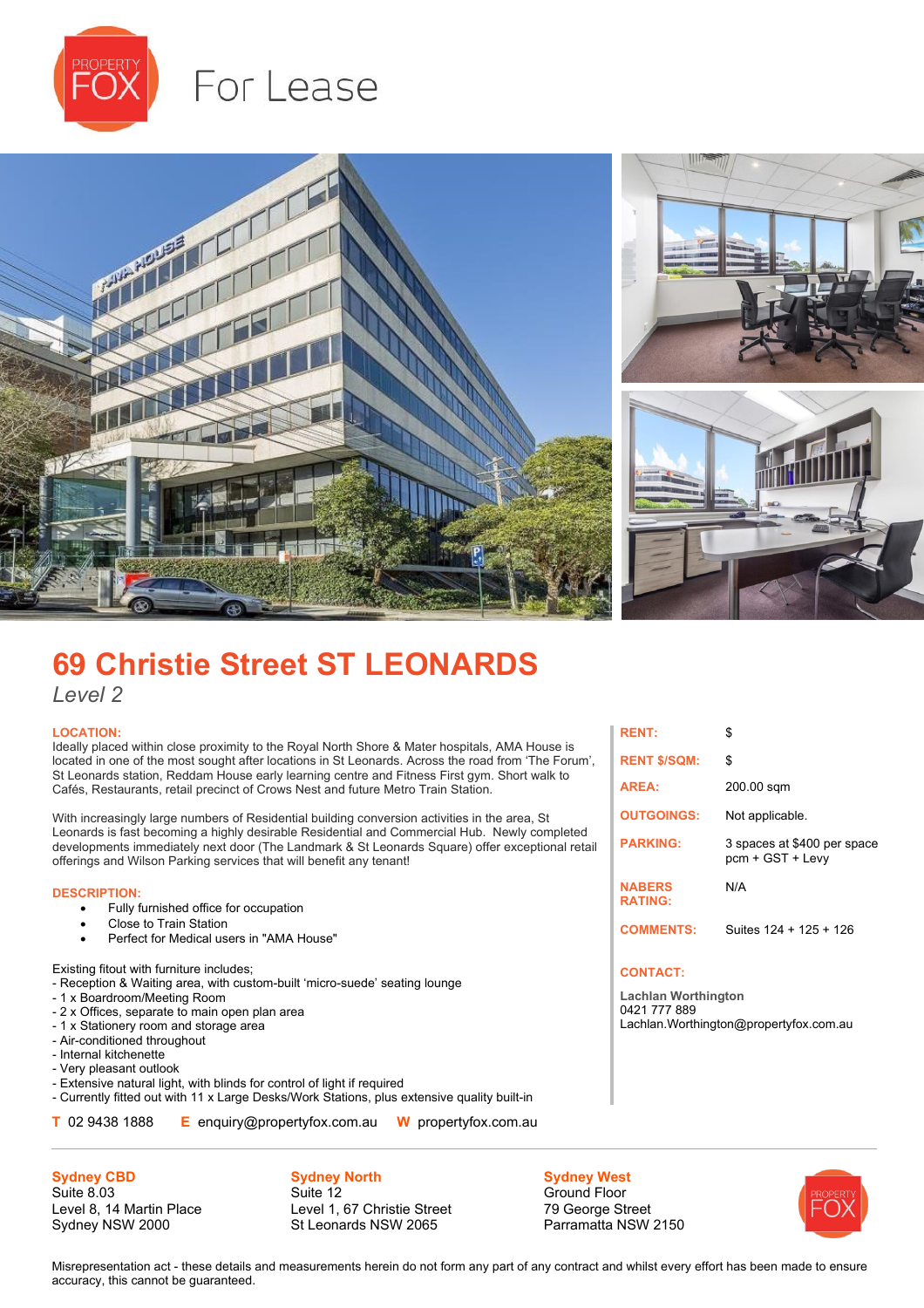

# For Lease



# **69 Christie Street ST LEONARDS**

*Level 2*

### **LOCATION:**

Ideally placed within close proximity to the Royal North Shore & Mater hospitals, AMA House is located in one of the most sought after locations in St Leonards. Across the road from 'The Forum', St Leonards station, Reddam House early learning centre and Fitness First gym. Short walk to Cafés, Restaurants, retail precinct of Crows Nest and future Metro Train Station.

With increasingly large numbers of Residential building conversion activities in the area, St Leonards is fast becoming a highly desirable Residential and Commercial Hub. Newly completed developments immediately next door (The Landmark & St Leonards Square) offer exceptional retail offerings and Wilson Parking services that will benefit any tenant!

#### **DESCRIPTION:**

- Fully furnished office for occupation
- Close to Train Station
- Perfect for Medical users in "AMA House"

Existing fitout with furniture includes;

- Reception & Waiting area, with custom-built 'micro-suede' seating lounge
- 1 x Boardroom/Meeting Room
- 2 x Offices, separate to main open plan area
- 1 x Stationery room and storage area
- Air-conditioned throughout
- Internal kitchenette
- Very pleasant outlook
- Extensive natural light, with blinds for control of light if required - Currently fitted out with 11 x Large Desks/Work Stations, plus extensive quality built-in
- **T** 02 9438 1888 **E** enquiry@propertyfox.com.au **W** propertyfox.com.au

**Sydney CBD**

Suite 8.03 Level 8, 14 Martin Place Sydney NSW 2000

**Sydney North** Suite 12 Level 1, 67 Christie Street St Leonards NSW 2065

**Sydney West** Ground Floor 79 George Street Parramatta NSW 2150



Misrepresentation act - these details and measurements herein do not form any part of any contract and whilst every effort has been made to ensure accuracy, this cannot be guaranteed.

| <b>RENT:</b>                    | \$                                              |
|---------------------------------|-------------------------------------------------|
| <b>RENT \$/SQM:</b>             | \$                                              |
| <b>AREA:</b>                    | 200.00 sqm                                      |
| <b>OUTGOINGS:</b>               | Not applicable.                                 |
| <b>PARKING:</b>                 | 3 spaces at \$400 per space<br>pcm + GST + Levy |
| <b>NABERS</b><br><b>RATING:</b> | N/A                                             |
| <b>COMMENTS:</b>                | Suites 124 + 125 + 126                          |

### **CONTACT:**

**Lachlan Worthington** 0421 777 889 Lachlan.Worthington@propertyfox.com.au